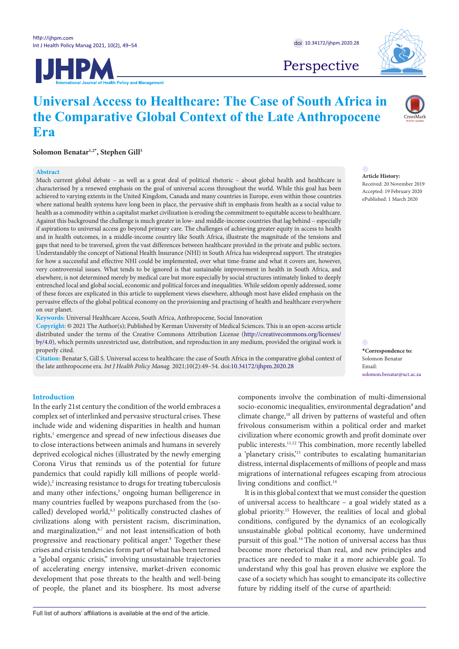



# Perspective

# **Universal Access to Healthcare: The Case of South Africa in the Comparative Global Context of the Late Anthropocene Era**

**Solomon Benatar1,2[\\*](#page-0-0) , Stephen Gill3** 

### **Abstract**

Much current global debate - as well as a great deal of political rhetoric - about global health and healthcare is characterised by a renewed emphasis on the goal of universal access throughout the world. While this goal has been achieved to varying extents in the United Kingdom, Canada and many countries in Europe, even within those countries where national health systems have long been in place, the pervasive shift in emphasis from health as a social value to health as a commodity within a capitalist market civilization is eroding the commitment to equitable access to healthcare. Against this background the challenge is much greater in low- and middle-income countries that lag behind – especially if aspirations to universal access go beyond primary care. The challenges of achieving greater equity in access to health and in health outcomes, in a middle-income country like South Africa, illustrate the magnitude of the tensions and gaps that need to be traversed, given the vast differences between healthcare provided in the private and public sectors. Understandably the concept of National Health Insurance (NHI) in South Africa has widespread support. The strategies for how a successful and effective NHI could be implemented, over what time-frame and what it covers are, however, very controversial issues. What tends to be ignored is that sustainable improvement in health in South Africa, and elsewhere, is not determined merely by medical care but more especially by social structures intimately linked to deeply entrenched local and global social, economic and political forces and inequalities. While seldom openly addressed, some of these forces are explicated in this article to supplement views elsewhere, although most have elided emphasis on the pervasive effects of the global political economy on the provisioning and practising of health and healthcare everywhere on our planet.

**Keywords:** Universal Healthcare Access, South Africa, Anthropocene, Social Innovation

**Copyright:** © 2021 The Author(s); Published by Kerman University of Medical Sciences. This is an open-access article distributed under the terms of the Creative Commons Attribution License [\(http://creativecommons.org/licenses/](http://creativecommons.org/licenses/by/4.0) [by/4.0\)](http://creativecommons.org/licenses/by/4.0), which permits unrestricted use, distribution, and reproduction in any medium, provided the original work is properly cited.

**Citation:** Benatar S, Gill S. Universal access to healthcare: the case of South Africa in the comparative global context of the late anthropocene era. *Int J Health Policy Manag.* 2021;10(2):49–54. doi[:10.34172/ijhpm.2020.28](https://doi.org/10.34172/ijhpm.2020.28)

# **Article History:**

Received: 20 November 2019 Accepted: 19 February 2020 ePublished: 1 March 2020

<span id="page-0-0"></span>**\*Correspondence to:** Solomon Benatar Email: solomon.benatar@uct.ac.za

## **Introduction**

In the early 21st century the condition of the world embraces a complex set of interlinked and pervasive structural crises. These include wide and widening disparities in health and human rights,<sup>1</sup> emergence and spread of new infectious diseases due to close interactions between animals and humans in severely deprived ecological niches (illustrated by the newly emerging Corona Virus that reminds us of the potential for future pandemics that could rapidly kill millions of people worldwide),<sup>2</sup> increasing resistance to drugs for treating tuberculosis and many other infections,<sup>3</sup> ongoing human belligerence in many countries fuelled by weapons purchased from the (socalled) developed world,<sup>4,5</sup> politically constructed clashes of civilizations along with persistent racism, discrimination, and marginalization,<sup>6,7</sup> and not least intensification of both progressive and reactionary political anger.8 Together these crises and crisis tendencies form part of what has been termed a "global organic crisis," involving unsustainable trajectories of accelerating energy intensive, market-driven economic development that pose threats to the health and well-being of people, the planet and its biosphere. Its most adverse components involve the combination of multi-dimensional socio-economic inequalities, environmental degradation<sup>9</sup> and climate change,<sup>10</sup> all driven by patterns of wasteful and often frivolous consumerism within a political order and market civilization where economic growth and profit dominate over public interests.<sup>11,12</sup> This combination, more recently labelled a 'planetary crisis,'13 contributes to escalating humanitarian distress, internal displacements of millions of people and mass migrations of international refugees escaping from atrocious living conditions and conflict. 14

It is in this global context that we must consider the question of universal access to healthcare – a goal widely stated as a global priority. <sup>15</sup> However, the realities of local and global conditions, configured by the dynamics of an ecologically unsustainable global political economy, have undermined pursuit of this goal.<sup>16</sup> The notion of universal access has thus become more rhetorical than real, and new principles and practices are needed to make it a more achievable goal. To understand why this goal has proven elusive we explore the case of a society which has sought to emancipate its collective future by ridding itself of the curse of apartheid: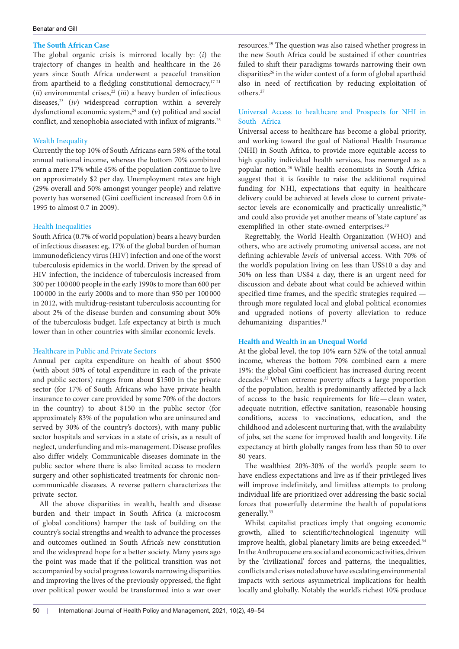## **The South African Case**

The global organic crisis is mirrored locally by: (*i*) the trajectory of changes in health and healthcare in the 26 years since South Africa underwent a peaceful transition from apartheid to a fledgling constitutional democracy,<sup>17-21</sup> (*ii*) environmental crises, 22 (*iii*) a heavy burden of infectious diseases, 23 (*iv*) widespread corruption within a severely dysfunctional economic system, <sup>24</sup> and (*v*) political and social conflict, and xenophobia associated with influx of migrants.<sup>25</sup>

## Wealth Inequality

Currently the top 10% of South Africans earn 58% of the total annual national income, whereas the bottom 70% combined earn a mere 17% while 45% of the population continue to live on approximately \$2 per day. Unemployment rates are high (29% overall and 50% amongst younger people) and relative poverty has worsened (Gini coefficient increased from 0.6 in 1995 to almost 0.7 in 2009).

## Health Inequalities

South Africa (0.7% of world population) bears a heavy burden of infectious diseases: eg, 17% of the global burden of human immunodeficiency virus (HIV) infection and one of the worst tuberculosis epidemics in the world. Driven by the spread of HIV infection, the incidence of tuberculosis increased from 300 per 100 000 people in the early 1990sto more than 600 per 100 000 in the early 2000s and to more than 950 per 100 000 in 2012, with multidrug-resistant tuberculosis accounting for about 2% of the disease burden and consuming about 30% of the tuberculosis budget. Life expectancy at birth is much lower than in other countries with similar economic levels.

## Healthcare in Public and Private Sectors

Annual per capita expenditure on health of about \$500 (with about 50% of total expenditure in each of the private and public sectors) ranges from about \$1500 in the private sector (for 17% of South Africans who have private health insurance to cover care provided by some 70% of the doctors in the country) to about \$150 in the public sector (for approximately 83% of the population who are uninsured and served by 30% of the country's doctors), with many public sector hospitals and services in a state of crisis, as a result of neglect, underfunding and mis-management. Disease profiles also differ widely. Communicable diseases dominate in the public sector where there is also limited access to modern surgery and other sophisticated treatments for chronic noncommunicable diseases. A reverse pattern characterizes the private sector.

All the above disparities in wealth, health and disease burden and their impact in South Africa (a microcosm of global conditions) hamper the task of building on the country's social strengths and wealth to advance the processes and outcomes outlined in South Africa's new constitution and the widespread hope for a better society. Many years ago the point was made that if the political transition was not accompanied by social progresstowards narrowing disparities and improving the lives of the previously oppressed, the fight over political power would be transformed into a war over

resources. <sup>19</sup> The question was also raised whether progress in the new South Africa could be sustained if other countries failed to shift their paradigms towards narrowing their own disparities<sup>26</sup> in the wider context of a form of global apartheid also in need of rectification by reducing exploitation of others. 27

# Universal Access to healthcare and Prospects for NHI in South Africa

Universal access to healthcare has become a global priority, and working toward the goal of National Health Insurance (NHI) in South Africa, to provide more equitable access to high quality individual health services, has reemerged as a popular notion. <sup>28</sup> While health economists in South Africa suggest that it is feasible to raise the additional required funding for NHI, expectations that equity in healthcare delivery could be achieved at levels close to current privatesector levels are economically and practically unrealistic,<sup>25</sup> and could also provide yet another means of 'state capture' as exemplified in other state-owned enterprises.<sup>30</sup>

Regrettably, the World Health Organization (WHO) and others, who are actively promoting universal access, are not defining achievable *levels* of universal access. With 70% of the world's population living on less than US\$10 a day and 50% on less than US\$4 a day, there is an urgent need for discussion and debate about what could be achieved within specified time frames, and the specific strategies required through more regulated local and global political economies and upgraded notions of poverty alleviation to reduce dehumanizing disparities. 31

## **Health and Wealth in an Unequal World**

At the global level, the top 10% earn 52% of the total annual income, whereas the bottom 70% combined earn a mere 19%: the global Gini coefficient has increased during recent decades. <sup>32</sup> When extreme poverty affects a large proportion of the population, health is predominantly affected by a lack of access to the basic requirements for life—clean water, adequate nutrition, effective sanitation, reasonable housing conditions, access to vaccinations, education, and the childhood and adolescent nurturing that, with the availability of jobs, set the scene for improved health and longevity. Life expectancy at birth globally ranges from less than 50 to over 80 years.

The wealthiest 20%-30% of the world's people seem to have endless expectations and live as if their privileged lives will improve indefinitely, and limitless attempts to prolong individual life are prioritized over addressing the basic social forces that powerfully determine the health of populations generally. 33

Whilst capitalist practices imply that ongoing economic growth, allied to scientific/technological ingenuity will improve health, global planetary limits are being exceeded.<sup>34</sup> In the Anthropocene era social and economic activities, driven by the 'civilizational' forces and patterns, the inequalities, conflicts and crises noted above have escalating environmental impacts with serious asymmetrical implications for health locally and globally. Notably the world's richest 10% produce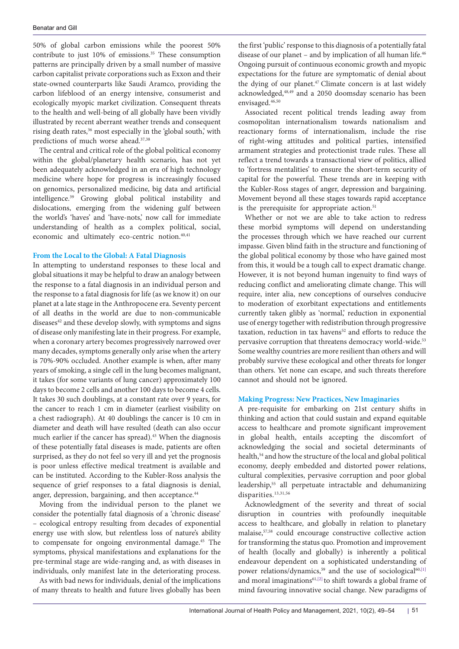50% of global carbon emissions while the poorest 50% contribute to just 10% of emissions. <sup>35</sup> These consumption patterns are principally driven by a small number of massive carbon capitalist private corporations such as Exxon and their state-owned counterparts like Saudi Aramco, providing the carbon lifeblood of an energy intensive, consumerist and ecologically myopic market civilization. Consequent threats to the health and well-being of all globally have been vividly illustrated by recent aberrant weather trends and consequent rising death rates, <sup>36</sup> most especially in the 'global south,' with predictions of much worse ahead. 37,38

The central and critical role of the global political economy within the global/planetary health scenario, has not yet been adequately acknowledged in an era of high technology medicine where hope for progress is increasingly focused on genomics, personalized medicine, big data and artificial intelligence. <sup>39</sup> Growing global political instability and dislocations, emerging from the widening gulf between the world's 'haves' and 'have-nots,' now call for immediate understanding of health as a complex political, social, economic and ultimately eco-centric notion. 40,41

## **From the Local to the Global: A Fatal Diagnosis**

In attempting to understand responses to these local and global situations it may be helpful to draw an analogy between the response to a fatal diagnosis in an individual person and the response to a fatal diagnosis for life (as we know it) on our planet at a late stage in the Anthropocene era. Seventy percent of all deaths in the world are due to non-communicable diseases<sup>42</sup> and these develop slowly, with symptoms and signs of disease only manifesting late in their progress. For example, when a coronary artery becomes progressively narrowed over many decades, symptoms generally only arise when the artery is 70%-90% occluded. Another example is when, after many years of smoking, a single cell in the lung becomes malignant, it takes (for some variants of lung cancer) approximately 100 days to become 2 cells and another 100 days to become 4 cells. It takes 30 such doublings, at a constant rate over 9 years, for the cancer to reach 1 cm in diameter (earliest visibility on a chest radiograph). At 40 doublings the cancer is 10 cm in diameter and death will have resulted (death can also occur much earlier if the cancer has spread).<sup>43</sup> When the diagnosis of these potentially fatal diseases is made, patients are often surprised, as they do not feel so very ill and yet the prognosis is poor unless effective medical treatment is available and can be instituted. According to the Kubler-Ross analysis the sequence of grief responses to a fatal diagnosis is denial, anger, depression, bargaining, and then acceptance.<sup>44</sup>

Moving from the individual person to the planet we consider the potentially fatal diagnosis of a 'chronic disease' – ecological entropy resulting from decades of exponential energy use with slow, but relentless loss of nature's ability to compensate for ongoing environmental damage. <sup>45</sup> The symptoms, physical manifestations and explanations for the pre-terminal stage are wide-ranging and, as with diseases in individuals, only manifest late in the deteriorating process.

As with bad news for individuals, denial of the implications of many threats to health and future lives globally has been

the first 'public' response to this diagnosis of a potentially fatal disease of our planet - and by implication of all human life.<sup>46</sup> Ongoing pursuit of continuous economic growth and myopic expectations for the future are symptomatic of denial about the dying of our planet. <sup>47</sup> Climate concern is at last widely acknowledged, 48,49 and a 2050 doomsday scenario has been envisaged. 46,50

Associated recent political trends leading away from cosmopolitan internationalism towards nationalism and reactionary forms of internationalism, include the rise of right-wing attitudes and political parties, intensified armament strategies and protectionist trade rules. These all reflect a trend towards a transactional view of politics, allied to 'fortress mentalities' to ensure the short-term security of capital for the powerful. These trends are in keeping with the Kubler-Ross stages of anger, depression and bargaining. Movement beyond all these stages towards rapid acceptance is the prerequisite for appropriate action. 51

Whether or not we are able to take action to redress these morbid symptoms will depend on understanding the processes through which we have reached our current impasse. Given blind faith in the structure and functioning of the global political economy by those who have gained most from this, it would be a tough call to expect dramatic change. However, it is not beyond human ingenuity to find ways of reducing conflict and ameliorating climate change. This will require, inter alia, new conceptions of ourselves conducive to moderation of exorbitant expectations and entitlements currently taken glibly as 'normal,' reduction in exponential use of energy together with redistribution through progressive taxation, reduction in tax havens<sup>52</sup> and efforts to reduce the pervasive corruption that threatens democracy world-wide.<sup>53</sup> Some wealthy countries are more resilient than others and will probably survive these ecological and other threats for longer than others. Yet none can escape, and such threats therefore cannot and should not be ignored.

## **Making Progress: New Practices, New Imaginaries**

A pre-requisite for embarking on 21st century shifts in thinking and action that could sustain and expand equitable access to healthcare and promote significant improvement in global health, entails accepting the discomfort of acknowledging the social and societal determinants of health, <sup>54</sup> and how the structure of the local and global political economy, deeply embedded and distorted power relations, cultural complexities, pervasive corruption and poor global leadership, <sup>55</sup> all perpetuate intractable and dehumanizing disparities. 13,31,56

Acknowledgment of the severity and threat of social disruption in countries with profoundly inequitable access to healthcare, and globally in relation to planetary malaise, 57,58 could encourage constructive collective action for transforming the status quo. Promotion and improvement of health (locally and globally) is inherently a political endeavour dependent on a sophisticated understanding of power relations/dynamics,<sup>59</sup> and the use of sociological<sup>60,[\[1\]](#page-3-0)</sup> and moral imaginations<sup>61,[\[2\]](#page-3-1)</sup> to shift towards a global frame of mind favouring innovative social change. New paradigms of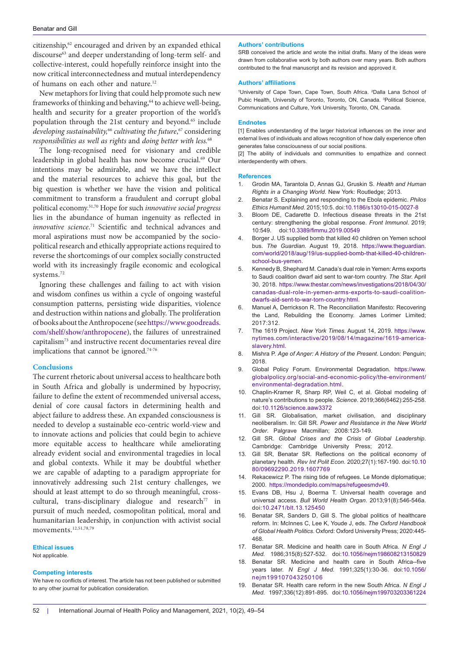citizenship, <sup>62</sup> encouraged and driven by an expanded ethical discourse<sup>63</sup> and deeper understanding of long-term self- and collective-interest, could hopefully reinforce insight into the now critical interconnectedness and mutual interdependency of humans on each other and nature.<sup>12</sup>

New metaphors for living that could help promote such new frameworks of thinking and behaving, <sup>64</sup> to achieve well-being, health and security for a greater proportion of the world's population through the 21st century and beyond. <sup>65</sup> include *developing sustainability,*<sup>66</sup> *cultivating the future*, <sup>67</sup> considering *responsibilities as well as rights* and *doing better with less.* 68

The long-recognised need for visionary and credible leadership in global health has now become crucial. <sup>69</sup> Our intentions may be admirable, and we have the intellect and the material resources to achieve this goal, but the big question is whether we have the vision and political commitment to transform a fraudulent and corrupt global political economy. 51,70 Hope for such *innovative social progress* lies in the abundance of human ingenuity as reflected in *innovative science*. <sup>71</sup> Scientific and technical advances and moral aspirations must now be accompanied by the sociopolitical research and ethically appropriate actions required to reverse the shortcomings of our complex socially constructed world with its increasingly fragile economic and ecological systems. 72

Ignoring these challenges and failing to act with vision and wisdom confines us within a cycle of ongoing wasteful consumption patterns, persisting wide disparities, violence and destruction within nations and globally. The proliferation of books about the Anthropocene (see [https://www.goodreads.](https://www.goodreads.com/shelf/show/anthropocene) [com/shelf/show/anthropocene](https://www.goodreads.com/shelf/show/anthropocene)), the failures of unrestrained capitalism73 and instructive recent documentaries reveal dire implications that cannot be ignored. 74-76

### **Conclusions**

The current rhetoric about universal access to healthcare both in South Africa and globally is undermined by hypocrisy, failure to define the extent of recommended universal access, denial of core causal factors in determining health and abject failure to address these. An expanded consciousness is needed to develop a sustainable eco-centric world-view and to innovate actions and policies that could begin to achieve more equitable access to healthcare while ameliorating already evident social and environmental tragedies in local and global contexts. While it may be doubtful whether we are capable of adapting to a paradigm appropriate for innovatively addressing such 21st century challenges, we should at least attempt to do so through meaningful, crosscultural, trans-disciplinary dialogue and research<sup>77</sup> in pursuit of much needed, cosmopolitan political, moral and humanitarian leadership, in conjunction with activist social movements. 12,51,78,79

#### **Ethical issues**

Not applicable.

### **Competing interests**

We have no conflicts of interest. The article has not been published or submitted to any other journal for publication consideration.

#### **Authors' contributions**

SRB conceived the article and wrote the initial drafts. Many of the ideas were drawn from collaborative work by both authors over many years. Both authors contributed to the final manuscript and its revision and approved it.

#### **Authors' affiliations**

1 University of Cape Town, Cape Town, South Africa. 2 Dalla Lana School of Pubic Health, University of Toronto, Toronto, ON, Canada. 3 Political Science, Communications and Culture, York University, Toronto, ON, Canada.

#### **Endnotes**

<span id="page-3-0"></span>[1] Enables understanding of the larger historical influences on the inner and external lives of individuals and allows recognition of how daily experience often generates false consciousness of our social positions.

<span id="page-3-1"></span>[2] The ability of individuals and communities to empathize and connect interdependently with others.

#### **References**

- 1. Grodin MA, Tarantola D, Annas GJ, Gruskin S. *Health and Human Rights in a Changing World*. New York: Routledge; 2013.
- 2. Benatar S. Explaining and responding to the Ebola epidemic. *Philos Ethics Humanit Med*. 2015;10:5. doi:[10.1186/s13010-015-0027-8](https://doi.org/10.1186/s13010-015-0027-8)
- 3. Bloom DE, Cadarette D. Infectious disease threats in the 21st century: strengthening the global response. *Front Immunol*. 2019; 10:549. doi[:10.3389/fimmu.2019.00549](https://doi.org/10.3389/fimmu.2019.00549)
- 4. Borger J. US supplied bomb that killed 40 children on Yemen school bus. *The Guardian.* August 19, 2018. [https://www.theguardian.](https://www.theguardian.com/world/2018/aug/19/us-supplied-bomb-that-killed-40-children-school-bus-yemen) [com/world/2018/aug/19/us-supplied-bomb-that-killed-40-children](https://www.theguardian.com/world/2018/aug/19/us-supplied-bomb-that-killed-40-children-school-bus-yemen)[school-bus-yemen](https://www.theguardian.com/world/2018/aug/19/us-supplied-bomb-that-killed-40-children-school-bus-yemen).
- 5. Kennedy B, Shephard M. Canada's dual role in Yemen: Arms exports to Saudi coalition dwarf aid sent to war-torn country. *The Star.* April 30, 2018. [https://www.thestar.com/news/investigations/2018/04/30/](https://www.thestar.com/news/investigations/2018/04/30/canadas-dual-role-in-yemen-arms-exports-to-saudi-coalition-dwarfs-aid-sent-to-war-torn-country.html) [canadas-dual-role-in-yemen-arms-exports-to-saudi-coalition](https://www.thestar.com/news/investigations/2018/04/30/canadas-dual-role-in-yemen-arms-exports-to-saudi-coalition-dwarfs-aid-sent-to-war-torn-country.html)[dwarfs-aid-sent-to-war-torn-country.html.](https://www.thestar.com/news/investigations/2018/04/30/canadas-dual-role-in-yemen-arms-exports-to-saudi-coalition-dwarfs-aid-sent-to-war-torn-country.html)
- 6. Manuel A, Derrickson R. The Reconciliation Manifesto: Recovering the Land, Rebuilding the Economy. James Lorimer Limited; 2017:312.
- 7. The 1619 Project. *New York Times*. August 14, 2019. [https://www.](https://www.nytimes.com/interactive/2019/08/14/magazine/1619-america-slavery.html) [nytimes.com/interactive/2019/08/14/magazine/1619-america](https://www.nytimes.com/interactive/2019/08/14/magazine/1619-america-slavery.html)[slavery.html](https://www.nytimes.com/interactive/2019/08/14/magazine/1619-america-slavery.html).
- 8. Mishra P. *Age of Anger: A History of the Present*. London: Penguin; 2018.
- 9. Global Policy Forum. Environmental Degradation. [https://www.](https://www.globalpolicy.org/social-and-economic-policy/the-environment/environmental-degradation.html) [globalpolicy.org/social-and-economic-policy/the-environment/](https://www.globalpolicy.org/social-and-economic-policy/the-environment/environmental-degradation.html) [environmental-degradation.html](https://www.globalpolicy.org/social-and-economic-policy/the-environment/environmental-degradation.html).
- 10. Chaplin-Kramer R, Sharp RP, Weil C, et al. Global modeling of nature's contributions to people. *Science*. 2019;366(6462):255-258. doi:[10.1126/science.aaw3372](https://doi.org/10.1126/science.aaw3372)
- 11. Gill SR. Globalisation, market civilisation, and disciplinary neoliberalism. In: Gill SR. *Power and Resistance in the New World Order*. Palgrave Macmillan; 2008:123-149.
- 12. Gill SR. *Global Crises and the Crisis of Global Leadership*. Cambridge: Cambridge University Press; 2012.
- 13. Gill SR, Benatar SR. Reflections on the political economy of planetary health. *Rev Int Polit Econ*. 2020;27(1):167-190. doi:[10.10](https://doi.org/10.1080/09692290.2019.1607769) [80/09692290.2019.1607769](https://doi.org/10.1080/09692290.2019.1607769)
- 14. Rekacewicz P. The rising tide of refugees. Le Monde diplomatique; 2000. <https://mondediplo.com/maps/refugeesmdv49>.
- 15. Evans DB, Hsu J, Boerma T. Universal health coverage and universal access. *Bull World Health Organ*. 2013;91(8):546-546a. doi[:10.2471/blt.13.125450](https://doi.org/10.2471/blt.13.125450)
- 16. Benatar SR, Sanders D, Gill S. The global politics of healthcare reform. In: McInnes C, Lee K, Youde J, eds. *The Oxford Handbook of Global Health Politics*. Oxford: Oxford University Press; 2020:445- 468.
- 17. Benatar SR. Medicine and health care in South Africa. *N Engl J Med.* 1986;315(8):527-532. doi[:10.1056/nejm198608213150829](https://doi.org/10.1056/nejm198608213150829)
- 18. Benatar SR. Medicine and health care in South Africa--five years later. *N Engl J Med.* 1991;325(1):30-36. doi[:10.1056/](https://doi.org/10.1056/nejm199107043250106) [nejm199107043250106](https://doi.org/10.1056/nejm199107043250106)
- 19. Benatar SR. Health care reform in the new South Africa. *N Engl J Med.* 1997;336(12):891-895. doi[:10.1056/nejm199703203361224](https://doi.org/10.1056/nejm199703203361224)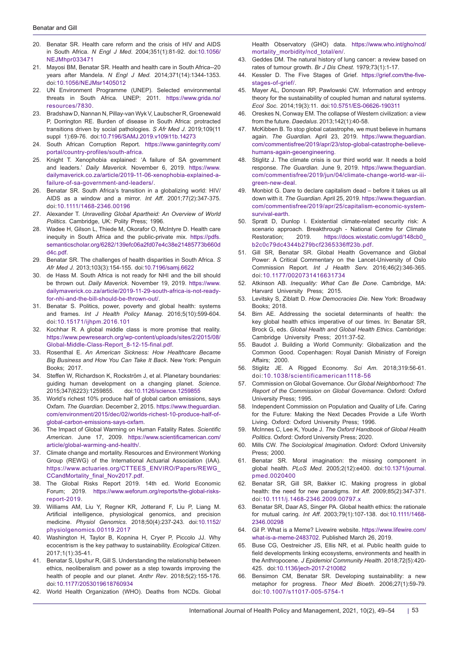- 20. Benatar SR. Health care reform and the crisis of HIV and AIDS in South Africa. *N Engl J Med*. 2004;351(1):81-92. doi:[10.1056/](https://doi.org/10.1056/NEJMhpr033471) [NEJMhpr033471](https://doi.org/10.1056/NEJMhpr033471)
- 21. Mayosi BM, Benatar SR. Health and health care in South Africa--20 years after Mandela. *N Engl J Med.* 2014;371(14):1344-1353. doi[:10.1056/NEJMsr1405012](https://doi.org/10.1056/NEJMsr1405012)
- 22. UN Environment Programme (UNEP). Selected environmental threats in South Africa. UNEP; 2011. [https://www.grida.no/](https://www.grida.no/resources/7830) [resources/7830](https://www.grida.no/resources/7830).
- 23. Bradshaw D, Nannan N, Pillay-van Wyk V, Laubscher R, Groenewald P, Dorrington RE. Burden of disease in South Africa: protracted transitions driven by social pathologies. *S Afr Med J*. 2019;109(11 suppl 1):69-76. doi:[10.7196/SAMJ.2019.v109i11b.14273](https://doi.org/10.7196/SAMJ.2019.v109i11b.14273)
- South African Corruption Report. [https://www.ganintegrity.com/](https://www.ganintegrity.com/portal/country-profiles/south-africa) [portal/country-profiles/south-africa](https://www.ganintegrity.com/portal/country-profiles/south-africa).
- 25. Knight T. Xenophobia explained: 'A failure of SA government and leaders.' *Daily Maverick.* November 6, 2019. [https://www.](https://www.dailymaverick.co.za/article/2019-11-06-xenophobia-explained-a-failure-of-sa-government-and-leaders/) [dailymaverick.co.za/article/2019-11-06-xenophobia-explained-a](https://www.dailymaverick.co.za/article/2019-11-06-xenophobia-explained-a-failure-of-sa-government-and-leaders/)[failure-of-sa-government-and-leaders/](https://www.dailymaverick.co.za/article/2019-11-06-xenophobia-explained-a-failure-of-sa-government-and-leaders/).
- 26. Benatar SR. South Africa's transition in a globalizing world: HIV/ AIDS as a window and a mirror. *Int Aff*. 2001;77(2):347-375. doi:[10.1111/1468-2346.00196](https://doi.org/10.1111/1468-2346.00196)
- 27. Alexander T. *Unravelling Global Apartheid: An Overview of World Politics*. Cambridge, UK: Polity Press; 1996.
- Wadee H, Gilson L, Thiede M, Okorafor O, McIntyre D. Health care inequity in South Africa and the public-private mix. [https://pdfs.](https://pdfs.semanticscholar.org/6282/139efc06a2fd07e4c38e21485773b660dd4c.pdf) [semanticscholar.org/6282/139efc06a2fd07e4c38e21485773b660d](https://pdfs.semanticscholar.org/6282/139efc06a2fd07e4c38e21485773b660dd4c.pdf) [d4c.pdf](https://pdfs.semanticscholar.org/6282/139efc06a2fd07e4c38e21485773b660dd4c.pdf).
- 29. Benatar SR. The challenges of health disparities in South Africa. *S Afr Med J.* 2013;103(3):154-155. doi[:10.7196/samj.6622](https://doi.org/10.7196/samj.6622)
- 30. de Hass M. South Africa is not ready for NHI and the bill should be thrown out. *Daily Maverick*. November 19, 2019. [https://www.](https://www.dailymaverick.co.za/article/2019-11-29-south-africa-is-not-ready-for-nhi-and-the-bill-should-be-thrown-out/) [dailymaverick.co.za/article/2019-11-29-south-africa-is-not-ready](https://www.dailymaverick.co.za/article/2019-11-29-south-africa-is-not-ready-for-nhi-and-the-bill-should-be-thrown-out/)[for-nhi-and-the-bill-should-be-thrown-out/.](https://www.dailymaverick.co.za/article/2019-11-29-south-africa-is-not-ready-for-nhi-and-the-bill-should-be-thrown-out/)
- 31. Benatar S. Politics, power, poverty and global health: systems and frames. *Int J Health Policy Manag*. 2016;5(10):599-604. doi:[10.15171/ijhpm.2016.101](https://doi.org/10.15171/ijhpm.2016.101)
- 32. Kochhar R. A global middle class is more promise that reality. [https://www.pewresearch.org/wp-content/uploads/sites/2/2015/08/](https://www.pewresearch.org/wp-content/uploads/sites/2/2015/08/Global-Middle-Class-Report_8-12-15-final.pdf) [Global-Middle-Class-Report\\_8-12-15-final.pdf](https://www.pewresearch.org/wp-content/uploads/sites/2/2015/08/Global-Middle-Class-Report_8-12-15-final.pdf).
- 33. Rosenthal E. *An American Sickness: How Healthcare Became Big Business and How You Can Take It Back*. New York: Penguin Books; 2017.
- 34. Steffen W, Richardson K, Rockström J, et al. Planetary boundaries: guiding human development on a changing planet. *Science*. 2015;347(6223):1259855. doi:[10.1126/science.1259855](https://doi.org/10.1126/science.1259855)
- 35. World's richest 10% produce half of global carbon emissions, says Oxfam. *The Guardian*. December 2, 2015. [https://www.theguardian.](https://www.theguardian.com/environment/2015/dec/02/worlds-richest-10-produce-half-of-global-carbon-emissions-says-oxfam) [com/environment/2015/dec/02/worlds-richest-10-produce-half-of](https://www.theguardian.com/environment/2015/dec/02/worlds-richest-10-produce-half-of-global-carbon-emissions-says-oxfam)[global-carbon-emissions-says-oxfam.](https://www.theguardian.com/environment/2015/dec/02/worlds-richest-10-produce-half-of-global-carbon-emissions-says-oxfam)
- 36. The Impact of Global Warming on Human Fatality Rates. *Scientific American*. June 17, 2009. [https://www.scientificamerican.com/](https://www.scientificamerican.com/article/global-warming-and-health/) [article/global-warming-and-health/](https://www.scientificamerican.com/article/global-warming-and-health/).
- 37. Climate change and mortality. Resources and Environment Working Group (REWG) of the International Actuarial Association (IAA). [https://www.actuaries.org/CTTEES\\_ENVIRO/Papers/REWG\\_](https://www.actuaries.org/CTTEES_ENVIRO/Papers/REWG_CCandMortality_final_Nov2017.pdf) [CCandMortality\\_final\\_Nov2017.pdf.](https://www.actuaries.org/CTTEES_ENVIRO/Papers/REWG_CCandMortality_final_Nov2017.pdf)
- 38. The Global Risks Report 2019. 14th ed. World Economic Forum; 2019. [https://www.weforum.org/reports/the-global-risks](https://www.weforum.org/reports/the-global-risks-report-2019)[report-2019.](https://www.weforum.org/reports/the-global-risks-report-2019)
- 39. Williams AM, Liu Y, Regner KR, Jotterand F, Liu P, Liang M. Artificial intelligence, physiological genomics, and precision medicine. *Physiol Genomics*. 2018;50(4):237-243. doi[:10.1152/](https://doi.org/10.1152/physiolgenomics.00119.2017) [physiolgenomics.00119.2017](https://doi.org/10.1152/physiolgenomics.00119.2017)
- 40. Washington H, Taylor B, Kopnina H, Cryer P, Piccolo JJ. Why ecocentrism is the key pathway to sustainability. *Ecological Citizen*. 2017;1(1):35-41.
- 41. Benatar S, Upshur R, Gill S. Understanding the relationship between ethics, neoliberalism and power as a step towards improving the health of people and our planet. *Anthr Rev*. 2018;5(2):155-176. doi[:10.1177/2053019618760934](https://doi.org/10.1177/2053019618760934)
- 42. World Health Organization (WHO). Deaths from NCDs. Global

Health Observatory (GHO) data. [https://www.who.int/gho/ncd/](https://www.who.int/gho/ncd/mortality_morbidity/ncd_total/en/) [mortality\\_morbidity/ncd\\_total/en/.](https://www.who.int/gho/ncd/mortality_morbidity/ncd_total/en/)

- 43. Geddes DM. The natural history of lung cancer: a review based on rates of tumour growth. *Br J Dis Chest*. 1979;73(1):1-17.
- 44. Kessler D. The Five Stages of Grief. [https://grief.com/the-five](https://grief.com/the-five-stages-of-grief/)[stages-of-grief/](https://grief.com/the-five-stages-of-grief/).
- 45. Mayer AL, Donovan RP, Pawlowski CW. Information and entropy theory for the sustainability of coupled human and natural systems. *Ecol Soc*. 2014;19(3):11. doi[:10.5751/ES-06626-190311](https://doi.org/10.5751/ES-06626-190311)
- 46. Oreskes N, Conway EM. The collapse of Western civilization: a view from the future. *Daedalus*. 2013;142(1):40-58.
- 47. McKibben B. To stop global catastrophe, we must believe in humans again. *The Guardian.* April 23, 2019. [https://www.theguardian.](https://www.theguardian.com/commentisfree/2019/apr/23/stop-global-catastrophe-believe-humans-again-geoengineering) [com/commentisfree/2019/apr/23/stop-global-catastrophe-believe](https://www.theguardian.com/commentisfree/2019/apr/23/stop-global-catastrophe-believe-humans-again-geoengineering)[humans-again-geoengineering.](https://www.theguardian.com/commentisfree/2019/apr/23/stop-global-catastrophe-believe-humans-again-geoengineering)
- 48. Stiglitz J. The climate crisis is our third world war. It needs a bold response. *The Guardian.* June 9, 2019. [https://www.theguardian.](https://www.theguardian.com/commentisfree/2019/jun/04/climate-change-world-war-iii-green-new-deal) [com/commentisfree/2019/jun/04/climate-change-world-war-iii](https://www.theguardian.com/commentisfree/2019/jun/04/climate-change-world-war-iii-green-new-deal)[green-new-deal.](https://www.theguardian.com/commentisfree/2019/jun/04/climate-change-world-war-iii-green-new-deal)
- 49. Monbiot G. Dare to declare capitalism dead before it takes us all down with it. *The Guardian*. April 25, 2019. [https://www.theguardian.](https://www.theguardian.com/commentisfree/2019/apr/25/capitalism-economic-system-survival-earth) [com/commentisfree/2019/apr/25/capitalism-economic-system](https://www.theguardian.com/commentisfree/2019/apr/25/capitalism-economic-system-survival-earth)[survival-earth.](https://www.theguardian.com/commentisfree/2019/apr/25/capitalism-economic-system-survival-earth)
- 50. Spratt D, Dunlop I. Existential climate-related security risk: A scenario approach. Breakthrough - National Centre for Climate Restoration; 2019. [https://docs.wixstatic.com/ugd/148cb0\\_](https://docs.wixstatic.com/ugd/148cb0_b2c0c79dc4344b279bcf2365336ff23b.pdf) [b2c0c79dc4344b279bcf2365336ff23b.pdf.](https://docs.wixstatic.com/ugd/148cb0_b2c0c79dc4344b279bcf2365336ff23b.pdf)
- 51. Gill SR, Benatar SR. Global Health Governance and Global Power: A Critical Commentary on the Lancet-University of Oslo Commission Report. *Int J Health Serv.* 2016;46(2):346-365. doi:[10.1177/0020731416631734](https://doi.org/10.1177/0020731416631734)
- 52. Atkinson AB. *Inequality: What Can Be Done*. Cambridge, MA: Harvard University Press; 2015.
- 53. Levitsky S, Ziblatt D. *How Democracies Die*. New York: Broadway Books; 2018.
- 54. Birn AE. Addressing the societal determinants of health: the key global health ethics imperative of our times. In: Benatar SR, Brock G, eds. *Global Health and Global Health Ethics*. Cambridge: Cambridge University Press; 2011:37-52.
- 55. Baudot J. Building a World Community: Globalization and the Common Good. Copenhagen: Royal Danish Ministry of Foreign Affairs; 2000.
- 56. Stiglitz JE. A Rigged Economy. *Sci Am*. 2018;319:56-61. doi:[10.1038/scientificamerican1118-56](https://doi.org/10.1038/scientificamerican1118-56 )
- 57. Commission on Global Governance. *Our Global Neighborhood: The Report of the Commission on Global Governance*. Oxford: Oxford University Press; 1995.
- 58. Independent Commission on Population and Quality of Life. Caring for the Future: Making the Next Decades Provide a Life Worth Living. Oxford: Oxford University Press; 1996.
- 59. McInnes C, Lee K, Youde J. *The Oxford Handbook of Global Health Politics*. Oxford: Oxford University Press; 2020.
- 60. Mills CW. *The Sociological Imagination*. Oxford: Oxford University Press; 2000.
- 61. Benatar SR. Moral imagination: the missing component in global health. *PLoS Med*. 2005;2(12):e400. doi[:10.1371/journal.](https://doi.org/10.1371/journal.pmed.0020400) [pmed.0020400](https://doi.org/10.1371/journal.pmed.0020400)
- 62. Benatar SR, Gill SR, Bakker IC. Making progress in global health: the need for new paradigms*. Int Aff.* 2009;85(2):347-371. doi:[10.1111/j.1468-2346.2009.00797.x](https://doi.org/10.1111/j.1468-2346.2009.00797.x)
- 63. Benatar SR, Daar AS, Singer PA. Global health ethics: the rationale for mutual caring. *Int Aff*. 2003;79(1):107-138. doi[:10.1111/1468-](https://doi.org/10.1111/1468-2346.00298) [2346.00298](https://doi.org/10.1111/1468-2346.00298)
- 64. Gil P. What is a Meme? Livewire website. [https://www.lifewire.com/](https://www.lifewire.com/what-is-a-meme-2483702) [what-is-a-meme-2483702.](https://www.lifewire.com/what-is-a-meme-2483702) Published March 26, 2019.
- 65. Buse CG, Oestreicher JS, Ellis NR, et al. Public health guide to field developments linking ecosystems, environments and health in the Anthropocene. *J Epidemiol Community Health*. 2018;72(5):420- 425. doi:[10.1136/jech-2017-210082](https://doi.org/10.1136/jech-2017-210082)
- 66. Bensimon CM, Benatar SR. Developing sustainability: a new metaphor for progress. *Theor Med Bioeth*. 2006;27(1):59-79. doi:[10.1007/s11017-005-5754-1](https://doi.org/10.1007/s11017-005-5754-1)